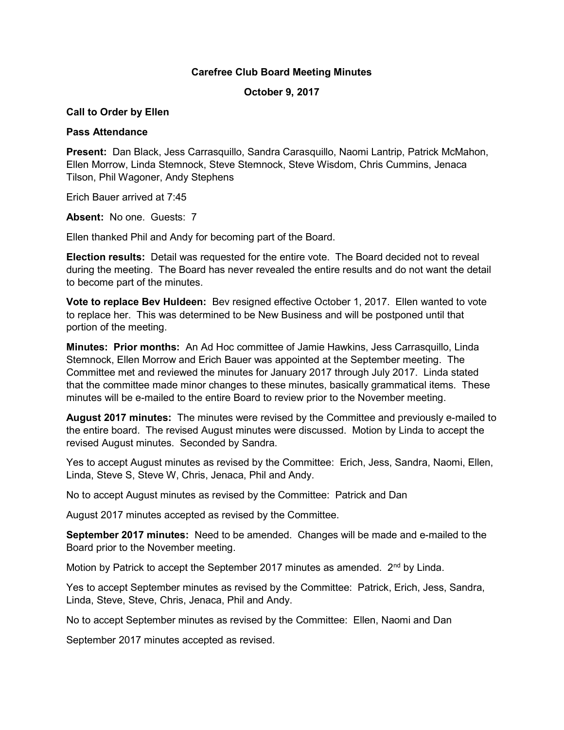## Carefree Club Board Meeting Minutes

October 9, 2017

## Call to Order by Ellen

## Pass Attendance

Present: Dan Black, Jess Carrasquillo, Sandra Carasquillo, Naomi Lantrip, Patrick McMahon, Ellen Morrow, Linda Stemnock, Steve Stemnock, Steve Wisdom, Chris Cummins, Jenaca Tilson, Phil Wagoner, Andy Stephens

Erich Bauer arrived at 7:45

Absent: No one. Guests: 7

Ellen thanked Phil and Andy for becoming part of the Board.

Election results: Detail was requested for the entire vote. The Board decided not to reveal during the meeting. The Board has never revealed the entire results and do not want the detail to become part of the minutes.

Vote to replace Bev Huldeen: Bev resigned effective October 1, 2017. Ellen wanted to vote to replace her. This was determined to be New Business and will be postponed until that portion of the meeting.

Minutes: Prior months: An Ad Hoc committee of Jamie Hawkins, Jess Carrasquillo, Linda Stemnock, Ellen Morrow and Erich Bauer was appointed at the September meeting. The Committee met and reviewed the minutes for January 2017 through July 2017. Linda stated that the committee made minor changes to these minutes, basically grammatical items. These minutes will be e-mailed to the entire Board to review prior to the November meeting.

August 2017 minutes: The minutes were revised by the Committee and previously e-mailed to the entire board. The revised August minutes were discussed. Motion by Linda to accept the revised August minutes. Seconded by Sandra.

Yes to accept August minutes as revised by the Committee: Erich, Jess, Sandra, Naomi, Ellen, Linda, Steve S, Steve W, Chris, Jenaca, Phil and Andy.

No to accept August minutes as revised by the Committee: Patrick and Dan

August 2017 minutes accepted as revised by the Committee.

September 2017 minutes: Need to be amended. Changes will be made and e-mailed to the Board prior to the November meeting.

Motion by Patrick to accept the September 2017 minutes as amended. 2<sup>nd</sup> by Linda.

Yes to accept September minutes as revised by the Committee: Patrick, Erich, Jess, Sandra, Linda, Steve, Steve, Chris, Jenaca, Phil and Andy.

No to accept September minutes as revised by the Committee: Ellen, Naomi and Dan

September 2017 minutes accepted as revised.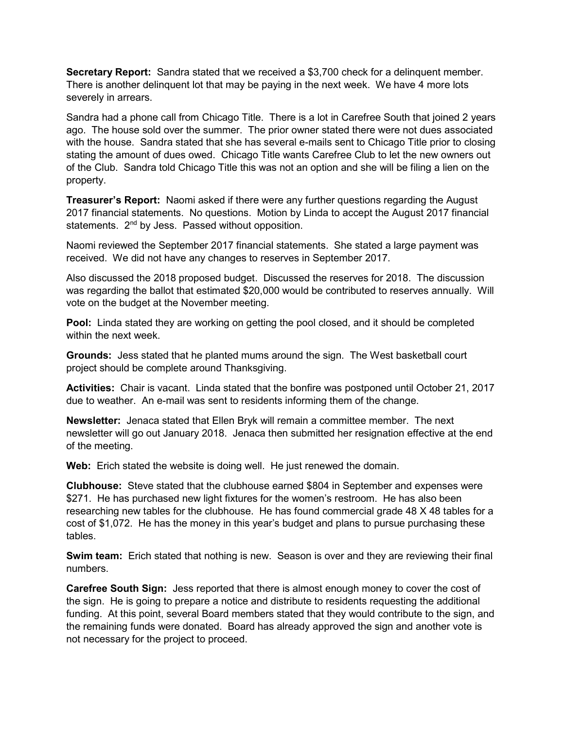Secretary Report: Sandra stated that we received a \$3,700 check for a delinguent member. There is another delinquent lot that may be paying in the next week. We have 4 more lots severely in arrears.

Sandra had a phone call from Chicago Title. There is a lot in Carefree South that joined 2 years ago. The house sold over the summer. The prior owner stated there were not dues associated with the house. Sandra stated that she has several e-mails sent to Chicago Title prior to closing stating the amount of dues owed. Chicago Title wants Carefree Club to let the new owners out of the Club. Sandra told Chicago Title this was not an option and she will be filing a lien on the property.

**Treasurer's Report:** Naomi asked if there were any further questions regarding the August 2017 financial statements. No questions. Motion by Linda to accept the August 2017 financial statements. 2<sup>nd</sup> by Jess. Passed without opposition.

Naomi reviewed the September 2017 financial statements. She stated a large payment was received. We did not have any changes to reserves in September 2017.

Also discussed the 2018 proposed budget. Discussed the reserves for 2018. The discussion was regarding the ballot that estimated \$20,000 would be contributed to reserves annually. Will vote on the budget at the November meeting.

Pool: Linda stated they are working on getting the pool closed, and it should be completed within the next week.

Grounds: Jess stated that he planted mums around the sign. The West basketball court project should be complete around Thanksgiving.

Activities: Chair is vacant. Linda stated that the bonfire was postponed until October 21, 2017 due to weather. An e-mail was sent to residents informing them of the change.

Newsletter: Jenaca stated that Ellen Bryk will remain a committee member. The next newsletter will go out January 2018. Jenaca then submitted her resignation effective at the end of the meeting.

Web: Erich stated the website is doing well. He just renewed the domain.

Clubhouse: Steve stated that the clubhouse earned \$804 in September and expenses were \$271. He has purchased new light fixtures for the women's restroom. He has also been researching new tables for the clubhouse. He has found commercial grade 48 X 48 tables for a cost of \$1,072. He has the money in this year's budget and plans to pursue purchasing these tables.

**Swim team:** Erich stated that nothing is new. Season is over and they are reviewing their final numbers.

Carefree South Sign: Jess reported that there is almost enough money to cover the cost of the sign. He is going to prepare a notice and distribute to residents requesting the additional funding. At this point, several Board members stated that they would contribute to the sign, and the remaining funds were donated. Board has already approved the sign and another vote is not necessary for the project to proceed.